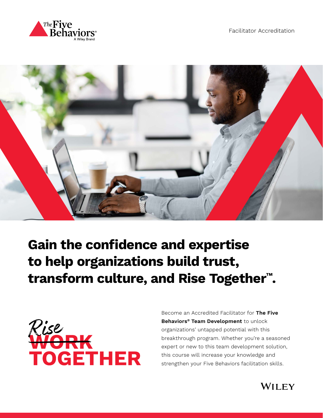



**Gain the confidence and expertise to help organizations build trust, transform culture, and Rise Together™ .**



Become an Accredited Facilitator for **The Five Behaviors® Team Development** to unlock organizations' untapped potential with this breakthrough program. Whether you're a seasoned expert or new to this team development solution, this course will increase your knowledge and strengthen your Five Behaviors facilitation skills.